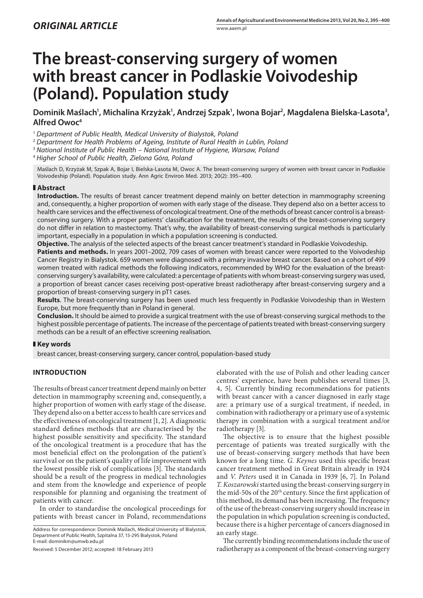# **The breast-conserving surgery of women with breast cancer in Podlaskie Voivodeship (Poland). Population study**

Dominik Maślach<sup>1</sup>, Michalina Krzyżak<sup>1</sup>, Andrzej Szpak<sup>1</sup>, Iwona Bojar<sup>2</sup>, Magdalena Bielska-Lasota<sup>3</sup>, **Alfred Owoc4**

<sup>1</sup> *Department of Public Health, Medical University of Bialystok, Poland*

<sup>2</sup> *Department for Health Problems of Ageing, Institute of Rural Health in Lublin, Poland*

<sup>3</sup> *National Institute of Public Health – National Institute of Hygiene, Warsaw, Poland*

<sup>4</sup> *Higher School of Public Health, Zielona Góra, Poland*

Maślach D, Krzyżak M, Szpak A, Bojar I, Bielska-Lasota M, Owoc A. The breast-conserving surgery of women with breast cancer in Podlaskie Voivodeship (Poland). Population study. Ann Agric Environ Med. 2013; 20(2): 395–400.

# **Abstract**

**Introduction.** The results of breast cancer treatment depend mainly on better detection in mammography screening and, consequently, a higher proportion of women with early stage of the disease. They depend also on a better access to health care services and the effectiveness of oncological treatment. One of the methods of breast cancer control is a breastconserving surgery. With a proper patients' classification for the treatment, the results of the breast-conserving surgery do not differ in relation to mastectomy. That's why, the availability of breast-conserving surgical methods is particularly important, especially in a population in which a population screening is conducted.

**Objective.** The analysis of the selected aspects of the breast cancer treatment's standard in Podlaskie Voivodeship.

Patients and methods. In years 2001-2002, 709 cases of women with breast cancer were reported to the Voivodeship Cancer Registry in Bialystok. 659 women were diagnosed with a primary invasive breast cancer. Based on a cohort of 499 women treated with radical methods the following indicators, recommended by WHO for the evaluation of the breastconserving surgery's availability, were calculated: a percentage of patients with whom breast-conserving surgery was used, a proportion of breast cancer cases receiving post-operative breast radiotherapy after breast-conserving surgery and a proportion of breast-conserving surgery in pT1 cases.

**Results**. The breast-conserving surgery has been used much less frequently in Podlaskie Voivodeship than in Western Europe, but more frequently than in Poland in general.

**Conclusion.** It should be aimed to provide a surgical treatment with the use of breast-conserving surgical methods to the highest possible percentage of patients. The increase of the percentage of patients treated with breast-conserving surgery methods can be a result of an effective screening realisation.

# **Key words**

breast cancer, breast-conserving surgery, cancer control, population-based study

# **INTRODUCTION**

The results of breast cancer treatment depend mainly on better detection in mammography screening and, consequently, a higher proportion of women with early stage of the disease. They depend also on a better access to health care services and the effectiveness of oncological treatment [1, 2]. A diagnostic standard defines methods that are characterised by the highest possible sensitivity and specificity. The standard of the oncological treatment is a procedure that has the most beneficial effect on the prolongation of the patient's survival or on the patient's quality of life improvement with the lowest possible risk of complications [3]. The standards should be a result of the progress in medical technologies and stem from the knowledge and experience of people responsible for planning and organising the treatment of patients with cancer.

In order to standardise the oncological proceedings for patients with breast cancer in Poland, recommendations

Address for correspondence: Dominik Maślach, Medical University of Bialystok, Department of Public Health, Szpitalna 37, 15-295 Bialystok, Poland E-mail: dominikm@umwb.edu.pl

Received: 5 December 2012; accepted: 18 February 2013

elaborated with the use of Polish and other leading cancer centres' experience, have been publishes several times [3, 4, 5]. Currently binding recommendations for patients with breast cancer with a cancer diagnosed in early stage are: a primary use of a surgical treatment, if needed, in combination with radiotherapy or a primary use of a systemic therapy in combination with a surgical treatment and/or radiotherapy [3].

The objective is to ensure that the highest possible percentage of patients was treated surgically with the use of breast-conserving surgery methods that have been known for a long time. *G. Keynes* used this specific breast cancer treatment method in Great Britain already in 1924 and *V. Peters* used it in Canada in 1939 [6, 7]. In Poland *T. Koszarowski* started using the breast-conserving surgery in the mid-50s of the 20<sup>th</sup> century. Since the first application of this method, its demand has been increasing. The frequency of the use of the breast-conserving surgery should increase in the population in which population screening is conducted, because there is a higher percentage of cancers diagnosed in an early stage.

The currently binding recommendations include the use of radiotherapy as a component of the breast-conserving surgery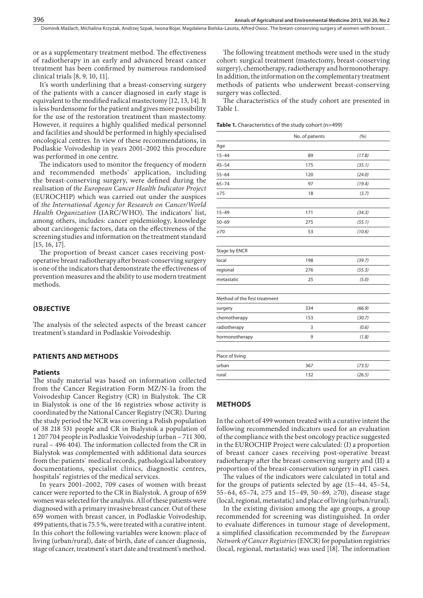or as a supplementary treatment method. The effectiveness of radiotherapy in an early and advanced breast cancer treatment has been confirmed by numerous randomised clinical trials [8, 9, 10, 11].

It's worth underlining that a breast-conserving surgery of the patients with a cancer diagnosed in early stage is equivalent to the modified radical mastectomy [12, 13, 14]. It is less burdensome for the patient and gives more possibility for the use of the restoration treatment than mastectomy. However, it requires a highly qualified medical personnel and facilities and should be performed in highly specialised oncological centres. In view of these recommendations, in Podlaskie Voivodeship in years 2001–2002 this procedure was performed in one centre.

The indicators used to monitor the frequency of modern and recommended methods' application, including the breast-conserving surgery, were defined during the realisation of *the European Cancer Health Indicator Project* (EUROCHIP) which was carried out under the auspices of *the International Agency for Research on Cancer/World Health Organization* (IARC/WHO). The indicators' list, among others, includes: cancer epidemiology, knowledge about carcinogenic factors, data on the effectiveness of the screening studies and information on the treatment standard [15, 16, 17].

The proportion of breast cancer cases receiving postoperative breast radiotherapy after breast-conserving surgery is one of the indicators that demonstrate the effectiveness of prevention measures and the ability to use modern treatment methods.

#### **OBJECTIVE**

The analysis of the selected aspects of the breast cancer treatment's standard in Podlaskie Voivodeship.

#### **PATIENTS AND METHODS**

#### **Patients**

The study material was based on information collected from the Cancer Registration Form MZ/N-1a from the Voivodeship Cancer Registry (CR) in Bialystok. The CR in Bialystok is one of the 16 registries whose activity is coordinated by the National Cancer Registry (NCR). During the study period the NCR was covering a Polish population of 38 218 531 people and CR in Bialystok a population of 1 207 704 people in Podlaskie Voivodeship (urban – 711 300, rural – 496 404). The information collected from the CR in Bialystok was complemented with additional data sources from the: patients` medical records, pathological laboratory documentations, specialist clinics, diagnostic centres, hospitals' registries of the medical services.

In years 2001–2002, 709 cases of women with breast cancer were reported to the CR in Bialystok. A group of 659 women was selected for the analysis. All of these patients were diagnosed with a primary invasive breast cancer. Out of these 659 women with breast cancer, in Podlaskie Voivodeship, 499 patients, that is 75.5 %, were treated with a curative intent. In this cohort the following variables were known: place of living (urban/rural), date of birth, date of cancer diagnosis, stage of cancer, treatment's start date and treatment's method.

The following treatment methods were used in the study cohort: surgical treatment (mastectomy, breast-conserving surgery), chemotherapy, radiotherapy and hormonotherapy. In addition, the information on the complementary treatment methods of patients who underwent breast-conserving surgery was collected.

The characteristics of the study cohort are presented in Table 1.

|                               | No. of patients | (%)    |
|-------------------------------|-----------------|--------|
| Age                           |                 |        |
| $15 - 44$                     | 89              | (17.8) |
| $45 - 54$                     | 175             | (35.1) |
| $55 - 64$                     | 120             | (24.0) |
| $65 - 74$                     | 97              | (19.4) |
| $\geq$ 75                     | 18              | (3.7)  |
| $15 - 49$                     | 171             | (34.3) |
| $50 - 69$                     | 275             | (55.1) |
| $\geq 70$                     | 53              | (10.6) |
| Stage by ENCR                 |                 |        |
| local                         | 198             | (39.7) |
| regional                      | 276             | (55.3) |
| metastatic                    | 25              | (5.0)  |
| Method of the first treatment |                 |        |
| surgery                       | 334             | (66.9) |
| chemotherapy                  | 153             | (30.7) |
| radiotherapy                  | 3               | (0.6)  |
| hormonotherapy                | 9               | (1.8)  |
| Place of living               |                 |        |
| urban                         | 367             | (73.5) |
| rural                         | 132             | (26.5) |

## **Methods**

In the cohort of 499 women treated with a curative intent the following recommended indicators used for an evaluation of the compliance with the best oncology practice suggested in the EUROCHIP Project were calculated: (I) a proportion of breast cancer cases receiving post-operative breast radiotherapy after the breast-conserving surgery and (II) a proportion of the breast-conservation surgery in pT1 cases.

The values of the indicators were calculated in total and for the groups of patients selected by age (15–44, 45–54, 55–64, 65–74, ≥75 and 15–49, 50–69, ≥70), disease stage (local, regional, metastatic) and place of living (urban/rural).

In the existing division among the age groups, a group recommended for screening was distinguished. In order to evaluate differences in tumour stage of development, a simplified classification recommended by the *European Network of Cancer Registries* (ENCR) for population registries (local, regional, metastatic) was used [18]. The information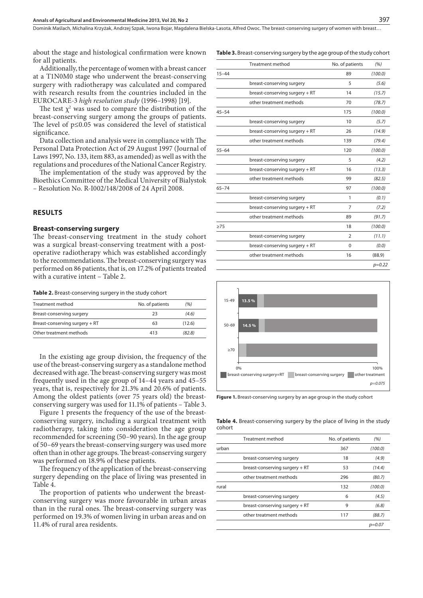about the stage and histological confirmation were known for all patients.

Additionally, the percentage of women with a breast cancer at a T1N0M0 stage who underwent the breast-conserving surgery with radiotherapy was calculated and compared with research results from the countries included in the EUROCARE-3 *high resolution study* (1996–1998) [19].

The test  $\chi^2$  was used to compare the distribution of the breast-conserving surgery among the groups of patients. The level of p≤0.05 was considered the level of statistical significance.

Data collection and analysis were in compliance with The Personal Data Protection Act of 29 August 1997 (Journal of Laws 1997, No. 133, item 883, as amended) as well as with the regulations and procedures of the National Cancer Registry.

The implementation of the study was approved by the Bioethics Committee of the Medical University of Bialystok – Resolution No. R-I002/148/2008 of 24 April 2008.

#### **RESULTS**

#### **Breast-conserving surgery**

The breast-conserving treatment in the study cohort was a surgical breast-conserving treatment with a postoperative radiotherapy which was established accordingly to the recommendations. The breast-conserving surgery was performed on 86 patients, that is, on 17.2% of patients treated with a curative intent – Table 2.

**Table 2.** Breast-conserving surgery in the study cohort

| Treatment method               | No. of patients | (%)    |  |
|--------------------------------|-----------------|--------|--|
| Breast-conserving surgery      | つろ              | (4.6)  |  |
| Breast-conserving surgery + RT | 63              | (12.6) |  |
| Other treatment methods        | 413             | (82.8) |  |

In the existing age group division, the frequency of the use of the breast-conserving surgery as a standalone method decreased with age. The breast-conserving surgery was most frequently used in the age group of 14–44 years and 45–55 years, that is, respectively for 21.3% and 20.6% of patients. Among the oldest patients (over 75 years old) the breastconserving surgery was used for 11.1% of patients – Table 3.

Figure 1 presents the frequency of the use of the breastconserving surgery, including a surgical treatment with radiotherapy, taking into consideration the age group recommended for screening (50–90 years). In the age group of 50–69 years the breast-conserving surgery was used more often than in other age groups. The breast-conserving surgery was performed on 18.9% of these patients.

The frequency of the application of the breast-conserving surgery depending on the place of living was presented in Table 4.

The proportion of patients who underwent the breastconserving surgery was more favourable in urban areas than in the rural ones. The breast-conserving surgery was performed on 19.3% of women living in urban areas and on 11.4% of rural area residents.

|  |  |  | <b>Table 3.</b> Breast-conserving surgery by the age group of the study cohort |  |  |  |  |  |  |  |  |  |
|--|--|--|--------------------------------------------------------------------------------|--|--|--|--|--|--|--|--|--|
|--|--|--|--------------------------------------------------------------------------------|--|--|--|--|--|--|--|--|--|

|           | <b>Treatment method</b>        | No. of patients                                                 | (96)     |
|-----------|--------------------------------|-----------------------------------------------------------------|----------|
| $15 - 44$ |                                | 89<br>5<br>14<br>70<br>175<br>10<br>26<br>139<br>120<br>5<br>16 | (100.0)  |
|           | breast-conserving surgery      |                                                                 | (5.6)    |
|           | breast-conserving surgery + RT |                                                                 | (15.7)   |
|           | other treatment methods        |                                                                 | (78.7)   |
| $45 - 54$ |                                |                                                                 | (100.0)  |
|           | breast-conserving surgery      |                                                                 | (5.7)    |
|           | breast-conserving surgery + RT |                                                                 | (14.9)   |
|           | other treatment methods        |                                                                 | (79.4)   |
| $55 - 64$ |                                |                                                                 | (100.0)  |
|           | breast-conserving surgery      |                                                                 | (4.2)    |
|           | breast-conserving surgery + RT |                                                                 | (13.3)   |
|           | other treatment methods        | 99                                                              | (82.5)   |
| $65 - 74$ |                                | 97                                                              | (100.0)  |
|           | breast-conserving surgery      | 1                                                               | (0.1)    |
|           | breast-conserving surgery + RT | 7                                                               | (7.2)    |
|           | other treatment methods        | 89                                                              | (91.7)   |
| $\geq$ 75 |                                | 18                                                              | (100.0)  |
|           | breast-conserving surgery      | $\overline{2}$                                                  | (11.1)   |
|           | breast-conserving surgery + RT | 0                                                               | (0.0)    |
|           | other treatment methods        | 16                                                              | (88.9)   |
|           |                                |                                                                 | $p=0.22$ |



**Figure 1.** Breast-conserving surgery by an age group in the study cohort

**Table 4.** Breast-conserving surgery by the place of living in the study cohort

|       | Treatment method               | No. of patients | (%)     |
|-------|--------------------------------|-----------------|---------|
| urban |                                | 367             | (100.0) |
|       | breast-conserving surgery      | 18              | (4.9)   |
|       | breast-conserving surgery + RT | 53              | (14.4)  |
|       | other treatment methods        | 296             | (80.7)  |
| rural |                                | 132             | (100.0) |
|       | breast-conserving surgery      | 6               | (4.5)   |
|       | breast-conserving surgery + RT | 9               | (6.8)   |
|       | other treatment methods        | 117             | (88.7)  |
|       |                                |                 | p=0.07  |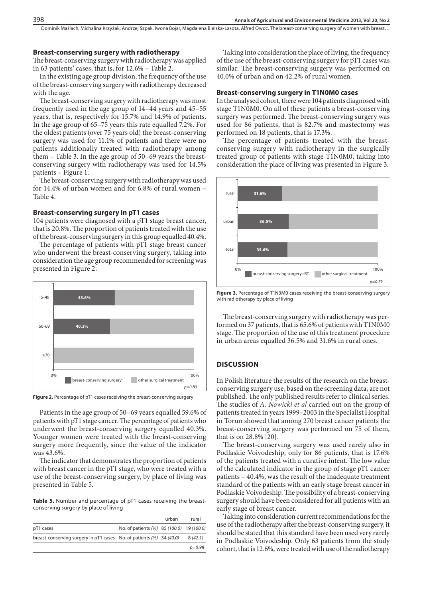#### **Breast-conserving surgery with radiotherapy**

The breast-conserving surgery with radiotherapy was applied in 63 patients' cases, that is, for 12.6% – Table 2.

In the existing age group division, the frequency of the use of the breast-conserving surgery with radiotherapy decreased with the age.

The breast-conserving surgery with radiotherapy was most frequently used in the age group of 14–44 years and 45–55 years, that is, respectively for 15.7% and 14.9% of patients. In the age group of 65–75 years this rate equalled 7.2%. For the oldest patients (over 75 years old) the breast-conserving surgery was used for 11.1% of patients and there were no patients additionally treated with radiotherapy among them – Table 3. In the age group of 50–69 years the breastconserving surgery with radiotherapy was used for 14.5% patients – Figure 1.

The breast-conserving surgery with radiotherapy was used for 14.4% of urban women and for 6.8% of rural women – Table 4.

### **Breast-conserving surgery in pT1 cases**

104 patients were diagnosed with a pT1 stage breast cancer, that is 20.8%. The proportion of patients treated with the use of the breast-conserving surgery in this group equalled 40.4%.

The percentage of patients with pT1 stage breast cancer who underwent the breast-conserving surgery, taking into consideration the age group recommended for screening was presented in Figure 2.



**Figure 2.** Percentage of pT1 cases receiving the breast-conserving surgery

Patients in the age group of 50–69 years equalled 59.6% of patients with pT1 stage cancer. The percentage of patients who underwent the breast-conserving surgery equalled 40.3%. Younger women were treated with the breast-conserving surgery more frequently, since the value of the indicator was 43.6%.

The indicator that demonstrates the proportion of patients with breast cancer in the pT1 stage, who were treated with a use of the breast-conserving surgery, by place of living was presented in Table 5.

**Table 5.** Number and percentage of pT1 cases receiving the breastconserving surgery by place of living

|                                                                      |                                           | urban | rural   |
|----------------------------------------------------------------------|-------------------------------------------|-------|---------|
| pT1 cases                                                            | No. of patients (%) 85 (100.0) 19 (100.0) |       |         |
| breast-conserving surgery in pT1 cases No. of patients (%) 34 (40.0) |                                           |       | 8(42.1) |
|                                                                      |                                           |       | p=0.98  |

Taking into consideration the place of living, the frequency of the use of the breast-conserving surgery for pT1 cases was similar. The breast-conserving surgery was performed on 40.0% of urban and on 42.2% of rural women.

#### **Breast-conserving surgery in T1N0M0 cases**

In the analysed cohort, there were 104 patients diagnosed with stage T1N0M0. On all of these patients a breast-conserving surgery was performed. The breast-conserving surgery was used for 86 patients, that is 82.7% and mastectomy was performed on 18 patients, that is 17.3%.

The percentage of patients treated with the breastconserving surgery with radiotherapy in the surgically treated group of patients with stage T1N0M0, taking into consideration the place of living was presented in Figure 3.



Figure 3. Percentage of T1N0M0 cases receiving the breast-conserving surgery with radiotherapy by place of living

The breast-conserving surgery with radiotherapy was performed on 37 patients, that is 65.6% of patients with T1N0M0 stage. The proportion of the use of this treatment procedure in urban areas equalled 36.5% and 31.6% in rural ones.

#### **DISCUSSION**

In Polish literature the results of the research on the breastconserving surgery use, based on the screening data, are not published. The only published results refer to clinical series. The studies of *A. Nowicki et al* carried out on the group of patients treated in years 1999–2003 in the Specialist Hospital in Torun showed that among 270 breast cancer patients the breast-conserving surgery was performed on 75 of them, that is on 28.8% [20].

The breast-conserving surgery was used rarely also in Podlaskie Voivodeship, only for 86 patients, that is 17.6% of the patients treated with a curative intent. The low value of the calculated indicator in the group of stage pT1 cancer patients – 40.4%, was the result of the inadequate treatment standard of the patients with an early stage breast cancer in Podlaskie Voivodeship. The possibility of a breast-conserving surgery should have been considered for all patients with an early stage of breast cancer.

Taking into consideration current recommendations for the use of the radiotherapy after the breast-conserving surgery, it should be stated that this standard have been used very rarely in Podlaskie Voivodeship. Only 63 patients from the study cohort, that is 12.6%, were treated with use of the radiotherapy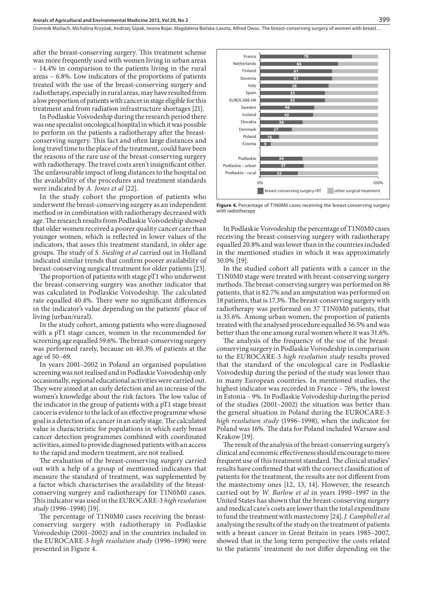after the breast-conserving surgery. This treatment scheme was more frequently used with women living in urban areas – 14.4% in comparison to the patients living in the rural areas – 6.8%. Low indicators of the proportions of patients treated with the use of the breast-conserving surgery and radiotherapy, especially in rural areas, may have resulted from a low proportion of patients with cancer in stage eligible for this treatment and from radiation infrastructure shortages [21].

In Podlaskie Voivodeship during the research period there was one specialist oncological hospital in which it was possible to perform on the patients a radiotherapy after the breastconserving surgery. This fact and often large distances and long travel time to the place of the treatment, could have been the reasons of the rare use of the breast-conserving surgery with radiotherapy. The travel costs aren't insignificant either. The unfavourable impact of long distances to the hospital on the availability of the procedures and treatment standards were indicated by *A. Jones et al* [22].

In the study cohort the proportion of patients who underwent the breast-conserving surgery as an independent method or in combination with radiotherapy decreased with age. The research results from Podlaskie Voivodeship showed that older women received a poorer quality cancer care than younger women, which is reflected in lower values of the indicators, that asses this treatment standard, in older age groups. The study of *S. Siesling et al* carried out in Holland indicated similar trends that confirm poorer availability of breast-conserving surgical treatment for older patients [23].

The proportion of patients with stage pT1 who underwent the breast-conserving surgery was another indicator that was calculated in Podlaskie Voivodeship. The calculated rate equalled 40.4%. There were no significant differences in the indicator's value depending on the patients' place of living (urban/rural).

In the study cohort, among patients who were diagnosed with a pT1 stage cancer, women in the recommended for screening age equalled 59.6%. The breast-conserving surgery was performed rarely, because on 40.3% of patients at the age of 50–69.

In years 2001–2002 in Poland an organised population screening was not realised and in Podlaskie Voivodeship only occasionally, regional educational activities were carried out. They were aimed at an early detection and an increase of the women's knowledge about the risk factors. The low value of the indicator in the group of patients with a pT1 stage breast cancer is evidence to the lack of an effective programme whose goal is a detection of a cancer in an early stage. The calculated value is characteristic for populations in which early breast cancer detection programmes combined with coordinated activities, aimed to provide diagnosed patients with an access to the rapid and modern treatment, are not realised.

The evaluation of the breast-conserving surgery carried out with a help of a group of mentioned indicators that measure the standard of treatment, was supplemented by a factor which characterises the availability of the breastconserving surgery and radiotherapy for T1N0M0 cases. This indicator was used in the EUROCARE-3 *high resolution study* (1996–1998) [19].

The percentage of T1N0M0 cases receiving the breastconserving surgery with radiotherapy in Podlaskie Voivodeship (2001–2002) and in the countries included in the EUROCARE-3 *high resolution study* (1996–1998) were presented in Figure 4.



Figure 4. Percentage of T1N0M0 cases receiving the breast-conserving surgery with radiotherapy

In Podlaskie Voivodeship the percentage of T1N0M0 cases receiving the breast-conserving surgery with radiotherapy equalled 20.8% and was lower than in the countries included in the mentioned studies in which it was approximately 30.0% [19].

In the studied cohort all patients with a cancer in the T1N0M0 stage were treated with breast-conserving surgery methods. The breast-conserving surgery was performed on 86 patients, that is 82.7% and an amputation was performed on 18 patients, that is 17.3%. The breast-conserving surgery with radiotherapy was performed on 37 T1N0M0 patients, that is 35.6%. Among urban women, the proportion of patients treated with the analysed procedure equalled 36.5% and was better than the one among rural women where it was 31.6%.

The analysis of the frequency of the use of the breastconserving surgery in Podlaskie Voivodeship in comparison to the EUROCARE-3 *high resolution study* results proved that the standard of the oncological care in Podlaskie Voivodeship during the period of the study was lower than in many European countries. In mentioned studies, the highest indicator was recorded in France – 76%, the lowest in Estonia – 9%. In Podlaskie Voivodeship during the period of the studies (2001–2002) the situation was better than the general situation in Poland during the EUROCARE-3 *high resolution study* (1996–1998), when the indicator for Poland was 16%. The data for Poland included Warsaw and Krakow [19].

The result of the analysis of the breast-conserving surgery's clinical and economic effectiveness should encourage to more frequent use of this treatment standard. The clinical studies' results have confirmed that with the correct classification of patients for the treatment, the results are not different from the mastectomy ones [12, 13, 14]. However, the research carried out by *W. Barlow et al* in years 1990–1997 in the United States has shown that the breast-conserving surgery and medical care's costs are lower than the total expenditure to fund the treatment with mastectomy [24]. *J. Campbell et al* analysing the results of the study on the treatment of patients with a breast cancer in Great Britain in years 1985–2007, showed that in the long term perspective the costs related to the patients' treatment do not differ depending on the